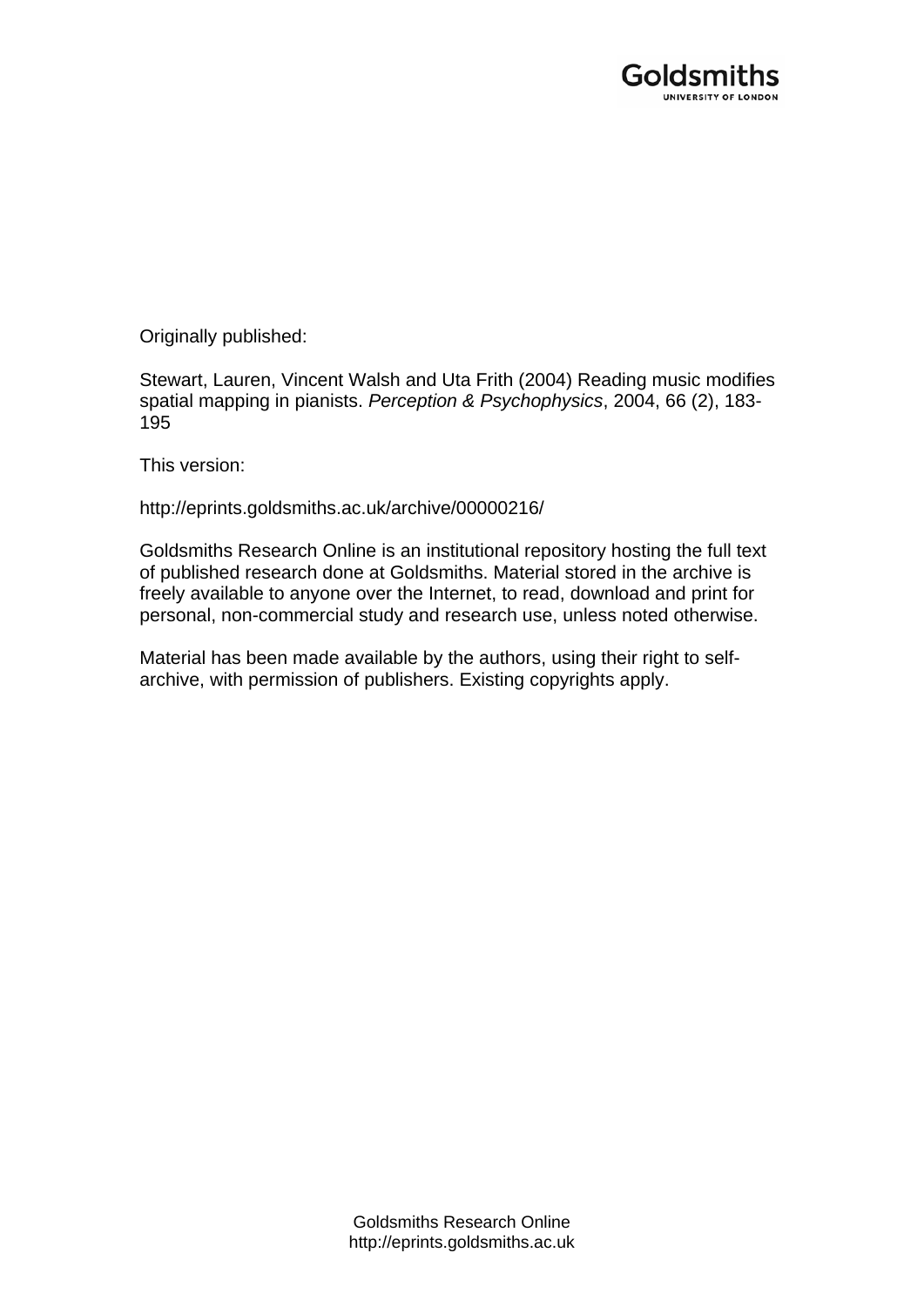

Originally published:

Stewart, Lauren, Vincent Walsh and Uta Frith (2004) Reading music modifies spatial mapping in pianists. *Perception & Psychophysics*, 2004, 66 (2), 183- 195

This version:

http://eprints.goldsmiths.ac.uk/archive/00000216/

Goldsmiths Research Online is an institutional repository hosting the full text of published research done at Goldsmiths. Material stored in the archive is freely available to anyone over the Internet, to read, download and print for personal, non-commercial study and research use, unless noted otherwise.

Material has been made available by the authors, using their right to selfarchive, with permission of publishers. Existing copyrights apply.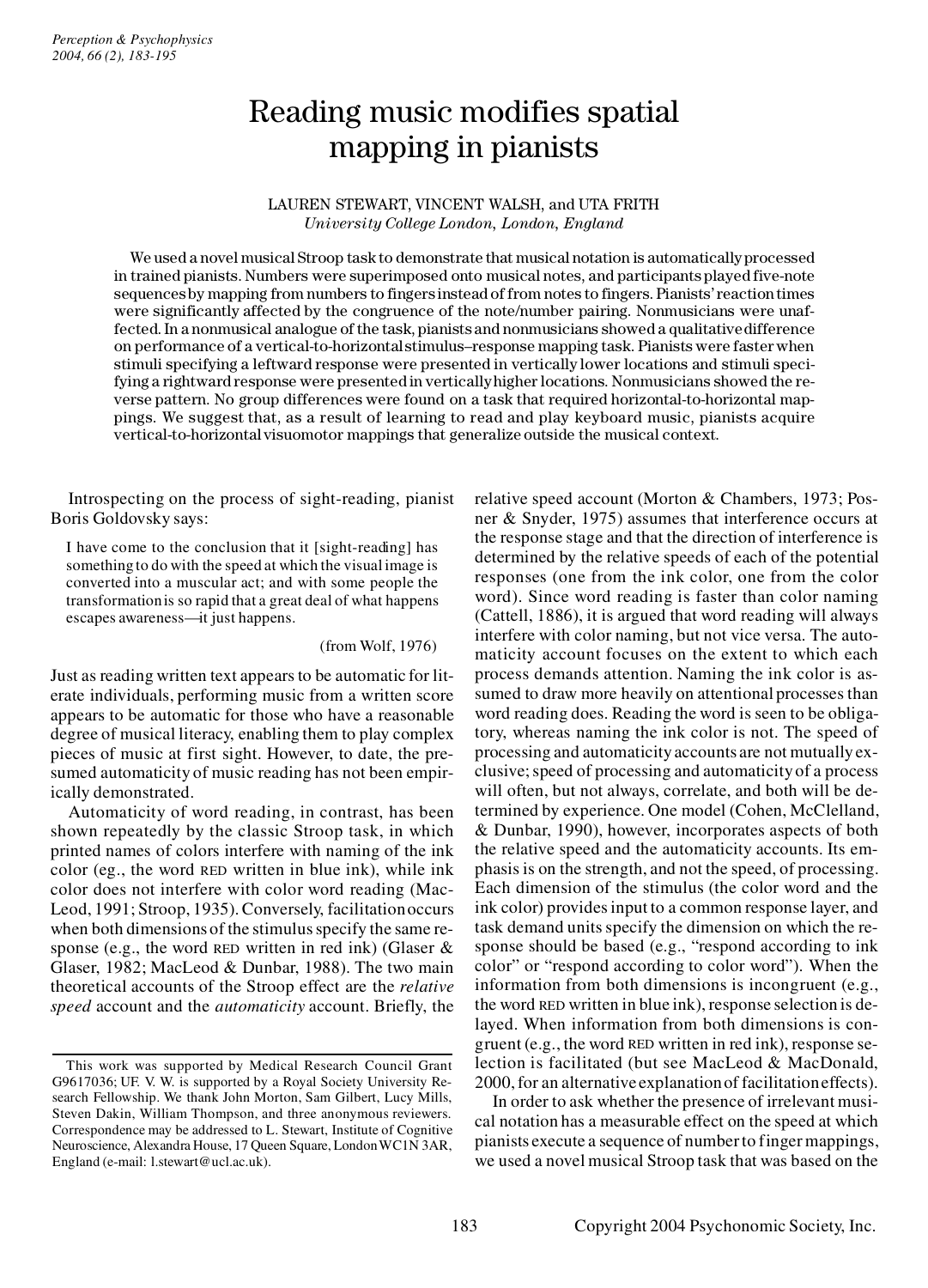# Reading music modifies spatial mapping in pianists

# LAUREN STEWART, VINCENT WALSH, and UTA FRITH *University College London, London, England*

We used a novel musical Stroop task to demonstrate that musical notation is automatically processed in trained pianists. Numbers were superimposed onto musical notes, and participants played five-note sequences by mapping from numbers to fingers instead of from notes to fingers. Pianists'reaction times were significantly affected by the congruence of the note/number pairing. Nonmusicians were unaffected. In a nonmusical analogue of the task, pianists and nonmusicians showed a qualitative difference on performance of a vertical-to-horizontal stimulus–response mapping task. Pianists were faster when stimuli specifying a leftward response were presented in vertically lower locations and stimuli specifying a rightward response were presented in vertically higher locations. Nonmusicians showed the re verse pattern. No group differences were found on a task that required horizontal-to-horizontal mappings. We suggest that, as a result of learning to read and play keyboard music, pianists acquire vertical-to-horizontal visuomotor mappings that generalize outside the musical context.

Introspecting on the process of sight-reading, pianist Boris Goldovsky says:

I have come to the conclusion that it [sight-reading] has something to do with the speed at which the visual image is converted into a muscular act; and with some people the transformation is so rapid that a great deal of what happens escapes awareness—it just happens.

#### (from Wolf, 1976)

Just as reading written text appears to be automatic for literate individuals, performing music from a written score appears to be automatic for those who have a reasonable degree of musical literacy, enabling them to play complex pieces of music at first sight. However, to date, the presumed automaticity of music reading has not been empirically demonstrated.

Automaticity of word reading, in contrast, has been shown repeatedly by the classic Stroop task, in which printed names of colors interfere with naming of the ink color (eg., the word RED written in blue ink), while ink color does not interfere with color word reading (Mac-Leod, 1991; Stroop, 1935). Conversely, facilitation occurs when both dimensions of the stimulus specify the same response (e.g., the word RED written in red ink) (Glaser  $\&$ Glaser, 1982; MacLeod & Dunbar, 1988). The two main theoretical accounts of the Stroop effect are the *relative speed* account and the *automaticity* account. Briefly, the

relative speed account (Morton & Chambers, 1973; Posner & Snyder, 1975) assumes that interference occurs at the response stage and that the direction of interference is determined by the relative speeds of each of the potential responses (one from the ink color, one from the color word). Since word reading is faster than color naming (Cattell, 1886), it is argued that word reading will always interfere with color naming, but not vice versa. The automaticity account focuses on the extent to which each process demands attention. Naming the ink color is assumed to draw more heavily on attentional processes than word reading does. Reading the word is seen to be obligatory, whereas naming the ink color is not. The speed of processing and automaticity accounts are not mutually exclusive; speed of processing and automaticity of a process will often, but not always, correlate, and both will be determined by experience. One model (Cohen, McClelland, & Dunbar, 1990), however, incorporates aspects of both the relative speed and the automaticity accounts. Its emphasis is on the strength, and not the speed, of processing. Each dimension of the stimulus (the color word and the ink color) provides input to a common response layer, and task demand units specify the dimension on which the response should be based (e.g., "respond according to ink color" or "respond according to color word"). When the information from both dimensions is incongruent (e.g., the word RED written in blue ink), response selection is delayed. When information from both dimensions is congruent (e.g., the word RED written in red ink), response selection is facilitated (but see MacLeod & MacDonald, 2000, for an alternative explanation of facilitation effects).

In order to ask whether the presence of irrelevant musical notation has a measurable effect on the speed at which pianists execute a sequence of number to finger mappings, we used a novel musical Stroop task that was based on the

This work was supported by Medical Research Council Grant G9617036; UF. V. W. is supported by a Royal Society University Research Fellowship. We thank John Morton, Sam Gilbert, Lucy Mills, Steven Dakin, William Thompson, and three anonymous reviewers. Correspondence may be addressed to L. Stewart, Institute of Cognitive Neuroscience, Alexandra House, 17 Queen Square, London WC1N 3AR, England (e-mail: l.stewart@ucl.ac.uk).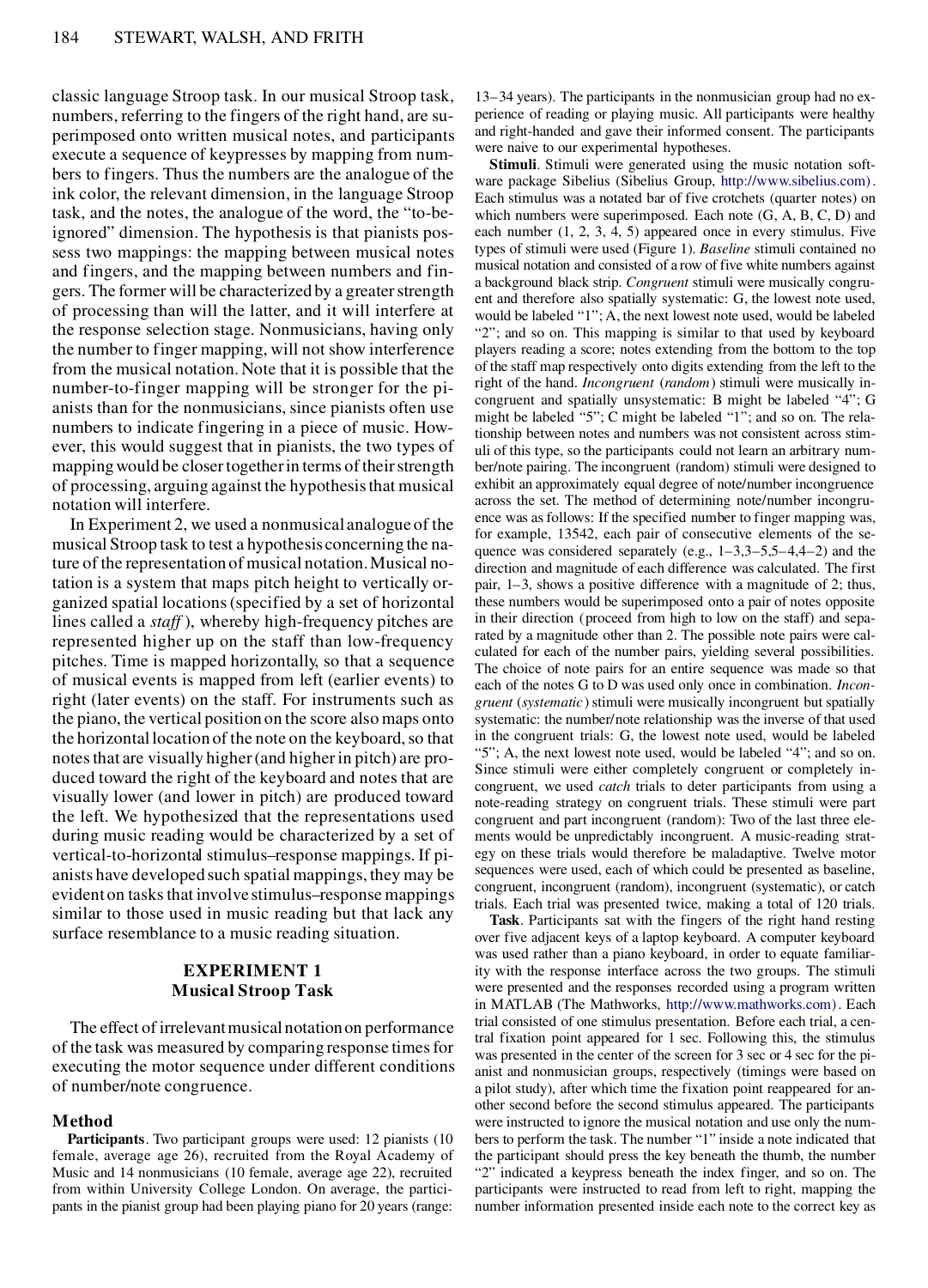classic language Stroop task. In our musical Stroop task, numbers, referring to the fingers of the right hand, are superimposed onto written musical notes, and participants execute a sequence of keypresses by mapping from numbers to fingers. Thus the numbers are the analogue of the ink color, the relevant dimension, in the language Stroop task, and the notes, the analogue of the word, the "to-beignored" dimension. The hypothesis is that pianists possess two mappings: the mapping between musical notes and fingers, and the mapping between numbers and fingers. The former will be characterized by a greater strength of processing than will the latter, and it will interfere at the response selection stage. Nonmusicians, having only the number to finger mapping, will not show interference from the musical notation. Note that it is possible that the number-to-finger mapping will be stronger for the pianists than for the nonmusicians, since pianists often use numbers to indicate fingering in a piece of music. However, this would suggest that in pianists, the two types of mapping would be closer together in terms of their strength of processing, arguing against the hypothesis that musical notation will interfere.

In Experiment 2, we used a nonmusical analogue of the musical Stroop task to test a hypothesis concerning the nature of the representation of musical notation. Musical notation is a system that maps pitch height to vertically organized spatial locations (specified by a set of horizontal lines called a *staff* ), whereby high-frequency pitches are represented higher up on the staff than low-frequency pitches. Time is mapped horizontally, so that a sequence of musical events is mapped from left (earlier events) to right (later events) on the staff. For instruments such as the piano, the vertical position on the score also maps onto the horizontal location of the note on the keyboard, so that notes that are visually higher (and higher in pitch) are produced toward the right of the keyboard and notes that are visually lower (and lower in pitch) are produced toward the left. We hypothesized that the representations used during music reading would be characterized by a set of vertical-to-horizontal stimulus–response mappings. If pianists have developed such spatial mappings, they may be evident on tasks that involve stimulus–response mappings similar to those used in music reading but that lack any surface resemblance to a music reading situation.

# **EXPERIMENT 1 Musical Stroop Task**

The effect of irrelevant musical notation on performance of the task was measured by comparing response times for executing the motor sequence under different conditions of number/note congruence.

#### **Method**

**Participants**. Two participant groups were used: 12 pianists (10 female, average age 26), recruited from the Royal Academy of Music and 14 nonmusicians (10 female, average age 22), recruited from within University College London. On average, the participants in the pianist group had been playing piano for 20 years (range:

13–34 years). The participants in the nonmusician group had no ex perience of reading or playing music. All participants were healthy and right-handed and gave their informed consent. The participants were naive to our experimental hypotheses.

**Stimuli**. Stimuli were generated using the music notation soft ware package Sibelius (Sibelius Group, <http://www.sibelius.com>). Each stimulus was a notated bar of five crotchets (quarter notes) on which numbers were superimposed. Each note  $(G, A, B, C, D)$  and each number  $(1, 2, 3, 4, 5)$  appeared once in every stimulus. Five types of stimuli were used (Figure 1). *Baseline* stimuli contained no musical notation and consisted of a row of five white numbers against a background black strip. *Congruent* stimuli were musically congruent and therefore also spatially systematic: G, the lowest note used, would be labeled "1"; A, the next lowest note used, would be labeled "2"; and so on. This mapping is similar to that used by keyboard players reading a score; notes extending from the bottom to the top of the staff map respectively onto digits extending from the left to the right of the hand. *Incongruent* (*random*) stimuli were musically incongruent and spatially unsystematic: B might be labeled "4"; G might be labeled "5"; C might be labeled "1"; and so on. The relationship between notes and numbers was not consistent across stimuli of this type, so the participants could not learn an arbitrary num ber/note pairing. The incongruent (random) stimuli were designed to exhibit an approximately equal degree of note/number incongruence across the set. The method of determining note/number incongru ence was as follows: If the specified number to finger mapping was, for example, 13542, each pair of consecutive elements of the se quence was considered separately (e.g.,  $1-3,3-5,5-4,4-2$ ) and the direction and magnitude of each difference was calculated. The first pair, 1–3, shows a positive difference with a magnitude of 2; thus, these numbers would be superimposed onto a pair of notes opposite in their direction (proceed from high to low on the staff) and separated by a magnitude other than 2. The possible note pairs were calculated for each of the number pairs, yielding several possibilities. The choice of note pairs for an entire sequence was made so that each of the notes G to D was used only once in combination. *Incongruent* (*systematic*) stimuli were musically incongruent but spatially systematic: the number/note relationship was the inverse of that used in the congruent trials: G, the lowest note used, would be labeled "5"; A, the next lowest note used, would be labeled "4"; and so on. Since stimuli were either completely congruent or completely incongruent, we used *catch* trials to deter participants from using a note-reading strategy on congruent trials. These stimuli were part congruent and part incongruent (random): Two of the last three elements would be unpredictably incongruent. A music-reading strategy on these trials would therefore be maladaptive. Twelve motor sequences were used, each of which could be presented as baseline, congruent, incongruent (random), incongruent (systematic), or catch trials. Each trial was presented twice, making a total of 120 trials.

**Task**. Participants sat with the fingers of the right hand resting over five adjacent keys of a laptop keyboard. A computer keyboard was used rather than a piano keyboard, in order to equate familiarity with the response interface across the two groups. The stimuli were presented and the responses recorded using a program written in MATLAB (The Mathworks, <http://www.mathworks.com>). Each trial consisted of one stimulus presentation. Before each trial, a central fixation point appeared for 1 sec. Following this, the stimulus was presented in the center of the screen for 3 sec or 4 sec for the pianist and nonmusician groups, respectively (timings were based on a pilot study), after which time the fixation point reappeared for an other second before the second stimulus appeared. The participants were instructed to ignore the musical notation and use only the num bers to perform the task. The number "1" inside a note indicated that the participant should press the key beneath the thumb, the number "2" indicated a keypress beneath the index finger, and so on. The participants were instructed to read from left to right, mapping the number information presented inside each note to the correct key as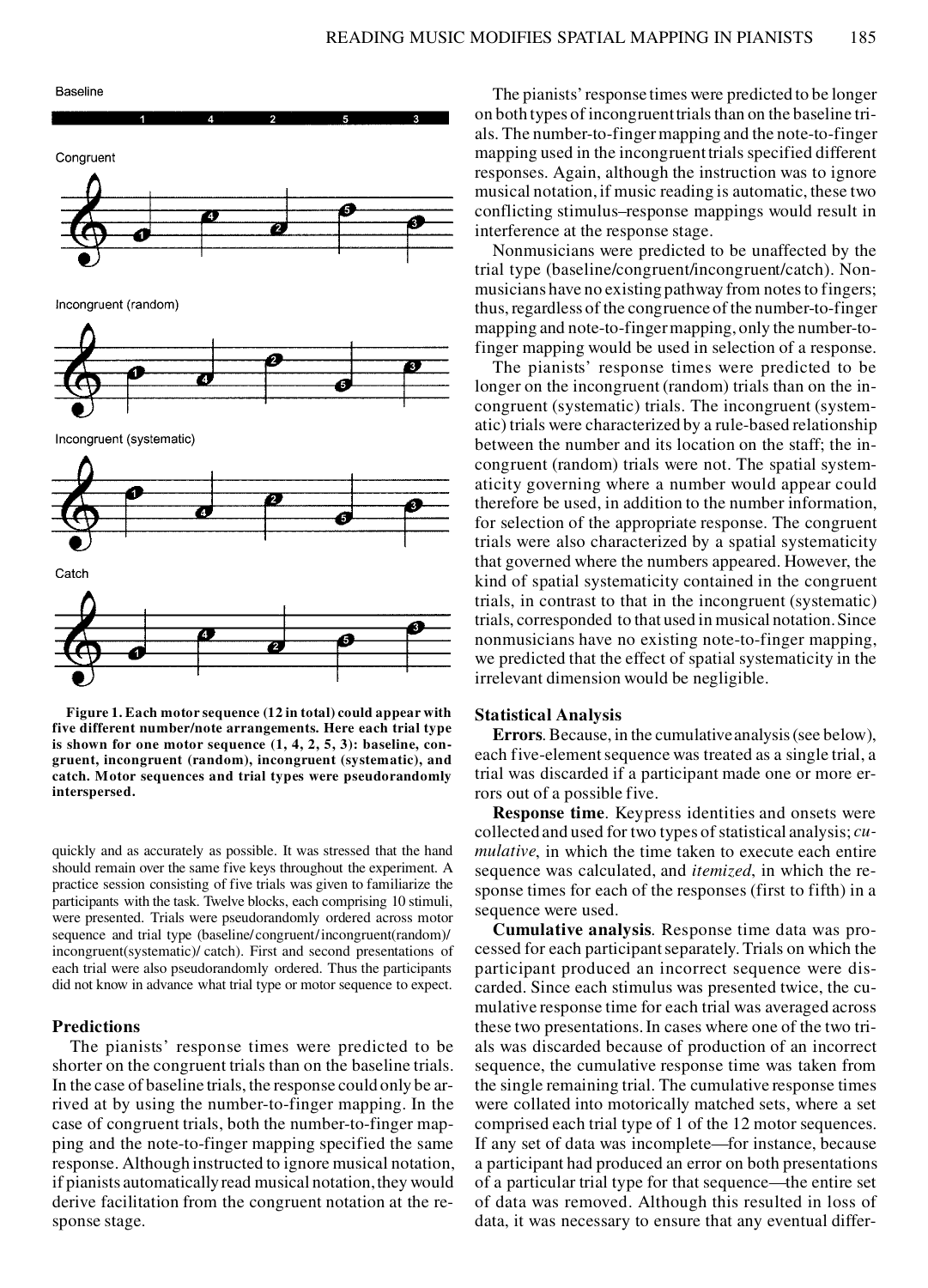

**Figure 1. Each motor sequence (12 in total) could appear with five different number/note arrangements. Here each trial type is shown for one motor sequence (1, 4, 2, 5, 3): baseline, con gruent, incongruent (random), incongruent (systematic), and catch. Motor sequences and trial types were pseudorandomly interspersed.**

quickly and as accurately as possible. It was stressed that the hand should remain over the same five keys throughout the experiment. A practice session consisting of five trials was given to familiarize the participants with the task. Twelve blocks, each comprising 10 stimuli, were presented. Trials were pseudorandomly ordered across motor sequence and trial type (baseline/congruent/incongruent(random)/ incongruent(systematic)/ catch). First and second presentations of each trial were also pseudorandomly ordered. Thus the participants did not know in advance what trial type or motor sequence to expect.

#### **Predictions**

The pianists' response times were predicted to be shorter on the congruent trials than on the baseline trials. In the case of baseline trials, the response could only be arrived at by using the number-to-finger mapping. In the case of congruent trials, both the number-to-finger mapping and the note-to-finger mapping specified the same response. Although instructed to ignore musical notation, if pianists automatically read musical notation, they would derive facilitation from the congruent notation at the response stage.

The pianists'response times were predicted to be longer on both types of incongruent trials than on the baseline trials. The number-to-finger mapping and the note-to-finger mapping used in the incongruent trials specified different responses. Again, although the instruction was to ignore musical notation, if music reading is automatic, these two conflicting stimulus–response mappings would result in interference at the response stage.

Nonmusicians were predicted to be unaffected by the trial type (baseline/congruent/incongruent/catch). Nonmusicians have no existing pathway from notes to fingers; thus, regardless of the congruence of the number-to-finger mapping and note-to-finger mapping, only the number-tofinger mapping would be used in selection of a response.

The pianists' response times were predicted to be longer on the incongruent (random) trials than on the incongruent (systematic) trials. The incongruent (systematic) trials were characterized by a rule-based relationship between the number and its location on the staff; the incongruent (random) trials were not. The spatial systematicity governing where a number would appear could therefore be used, in addition to the number information, for selection of the appropriate response. The congruent trials were also characterized by a spatial systematicity that governed where the numbers appeared. However, the kind of spatial systematicity contained in the congruent trials, in contrast to that in the incongruent (systematic) trials, corresponded to that used in musical notation. Since nonmusicians have no existing note-to-finger mapping, we predicted that the effect of spatial systematicity in the irrelevant dimension would be negligible.

### **Statistical Analysis**

**Errors**. Because, in the cumulative analysis (see below), each five-element sequence was treated as a single trial, a trial was discarded if a participant made one or more errors out of a possible five.

**Response time**. Keypress identities and onsets were collected and used for two types of statistical analysis; *cu mulative*, in which the time taken to execute each entire sequence was calculated, and *itemized*, in which the response times for each of the responses (first to fifth) in a sequence were used.

**Cumulative analysis**. Response time data was processed for each participant separately. Trials on which the participant produced an incorrect sequence were discarded. Since each stimulus was presented twice, the cumulative response time for each trial was averaged across these two presentations. In cases where one of the two trials was discarded because of production of an incorrect sequence, the cumulative response time was taken from the single remaining trial. The cumulative response times were collated into motorically matched sets, where a set comprised each trial type of 1 of the 12 motor sequences. If any set of data was incomplete—for instance, because a participant had produced an error on both presentations of a particular trial type for that sequence—the entire set of data was removed. Although this resulted in loss of data, it was necessary to ensure that any eventual differ-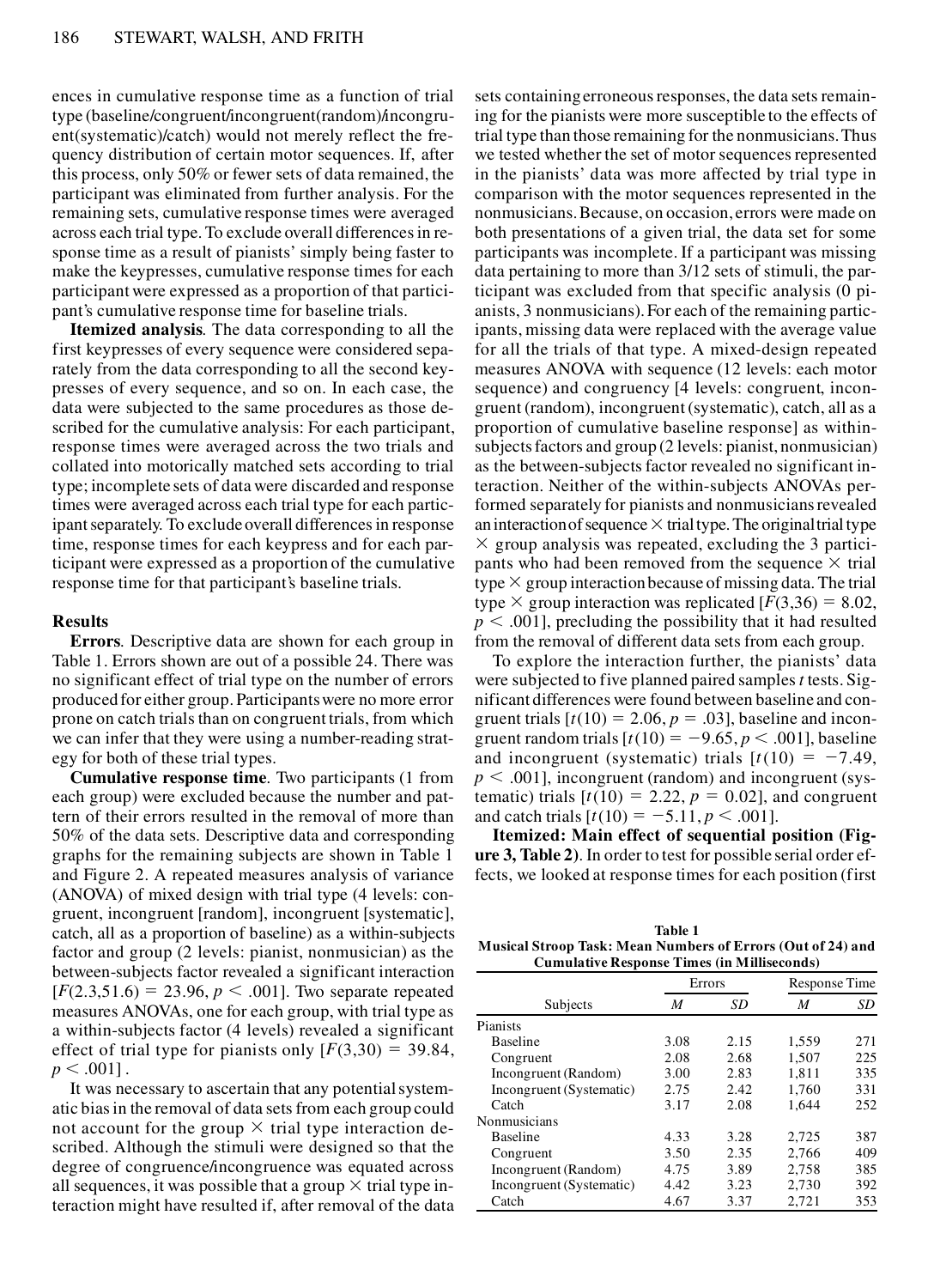ences in cumulative response time as a function of trial type (baseline/congruent/incongruent(random)/incongruent(systematic)/catch) would not merely reflect the frequency distribution of certain motor sequences. If, after this process, only 50% or fewer sets of data remained, the participant was eliminated from further analysis. For the remaining sets, cumulative response times were averaged across each trial type. To exclude overall differences in response time as a result of pianists' simply being faster to make the keypresses, cumulative response times for each participant were expressed as a proportion of that participant's cumulative response time for baseline trials.

**Itemized analysis**. The data corresponding to all the first keypresses of every sequence were considered separately from the data corresponding to all the second keypresses of every sequence, and so on. In each case, the data were subjected to the same procedures as those described for the cumulative analysis: For each participant, response times were averaged across the two trials and collated into motorically matched sets according to trial type; incomplete sets of data were discarded and response times were averaged across each trial type for each participant separately. To exclude overall differences in response time, response times for each keypress and for each participant were expressed as a proportion of the cumulative response time for that participant's baseline trials.

## **Results**

**Errors**. Descriptive data are shown for each group in Table 1. Errors shown are out of a possible 24. There was no significant effect of trial type on the number of errors produced for either group. Participants were no more error prone on catch trials than on congruent trials, from which we can infer that they were using a number-reading strategy for both of these trial types.

**Cumulative response time**. Two participants (1 from each group) were excluded because the number and pattern of their errors resulted in the removal of more than 50% of the data sets. Descriptive data and corresponding graphs for the remaining subjects are shown in Table 1 and Figure 2. A repeated measures analysis of variance (ANOVA) of mixed design with trial type (4 levels: congruent, incongruent [random], incongruent [systematic], catch, all as a proportion of baseline) as a within-subjects factor and group (2 levels: pianist, nonmusician) as the between-subjects factor revealed a significant interaction  $[F(2.3,51.6) = 23.96, p < .001]$ . Two separate repeated measures ANOVAs, one for each group, with trial type as a within-subjects factor (4 levels) revealed a significant effect of trial type for pianists only  $[F(3,30) = 39.84,$  $p < .001$ ].

It was necessary to ascertain that any potential systematic bias in the removal of data sets from each group could not account for the group  $\times$  trial type interaction described. Although the stimuli were designed so that the degree of congruence/incongruence was equated across all sequences, it was possible that a group  $\times$  trial type interaction might have resulted if, after removal of the data

sets containing erroneous responses, the data sets remaining for the pianists were more susceptible to the effects of trial type than those remaining for the nonmusicians. Thus we tested whether the set of motor sequences represented in the pianists' data was more affected by trial type in comparison with the motor sequences represented in the nonmusicians. Because, on occasion, errors were made on both presentations of a given trial, the data set for some participants was incomplete. If a participant was missing data pertaining to more than 3/12 sets of stimuli, the participant was excluded from that specific analysis (0 pianists, 3 nonmusicians). For each of the remaining participants, missing data were replaced with the average value for all the trials of that type. A mixed-design repeated measures ANOVA with sequence (12 levels: each motor sequence) and congruency [4 levels: congruent, incongruent (random), incongruent (systematic), catch, all as a proportion of cumulative baseline response] as withinsubjects factors and group (2 levels: pianist, nonmusician) as the between-subjects factor revealed no significant interaction. Neither of the within-subjects ANOVAs performed separately for pianists and nonmusicians revealed an interaction of sequence  $\times$  trial type. The original trial type  $\times$  group analysis was repeated, excluding the 3 participants who had been removed from the sequence  $\times$  trial type  $\times$  group interaction because of missing data. The trial type  $\times$  group interaction was replicated  $[F(3,36) = 8.02]$ ,  $p \leq .001$ , precluding the possibility that it had resulted from the removal of different data sets from each group.

To explore the interaction further, the pianists' data were subjected to five planned paired samples *t* tests. Significant differences were found between baseline and congruent trials  $[t(10) = 2.06, p = .03]$ , baseline and incongruent random trials  $[t(10) = -9.65, p < .001]$ , baseline and incongruent (systematic) trials  $[t(10) = -7.49]$ ,  $p < .001$ ], incongruent (random) and incongruent (systematic) trials  $[t(10) = 2.22, p = 0.02]$ , and congruent and catch trials  $[t(10) = -5.11, p < .001]$ .

**Itemized: Main effect of sequential position (Figure 3, Table 2)**. In order to test for possible serial order effects, we looked at response times for each position (first

| Table 1                                                     |
|-------------------------------------------------------------|
| Musical Stroop Task: Mean Numbers of Errors (Out of 24) and |
| <b>Cumulative Response Times (in Milliseconds)</b>          |

|                          | Errors |      | Response Time |     |
|--------------------------|--------|------|---------------|-----|
| Subjects                 | M      | SD   | M             | SD  |
| Pianists                 |        |      |               |     |
| <b>Baseline</b>          | 3.08   | 2.15 | 1,559         | 271 |
| Congruent                | 2.08   | 2.68 | 1,507         | 225 |
| Incongruent (Random)     | 3.00   | 2.83 | 1.811         | 335 |
| Incongruent (Systematic) | 2.75   | 2.42 | 1,760         | 331 |
| Catch                    | 3.17   | 2.08 | 1.644         | 252 |
| Nonmusicians             |        |      |               |     |
| <b>Baseline</b>          | 4.33   | 3.28 | 2,725         | 387 |
| Congruent                | 3.50   | 2.35 | 2,766         | 409 |
| Incongruent (Random)     | 4.75   | 3.89 | 2.758         | 385 |
| Incongruent (Systematic) | 4.42   | 3.23 | 2,730         | 392 |
| Catch                    | 4.67   | 3.37 | 2,721         | 353 |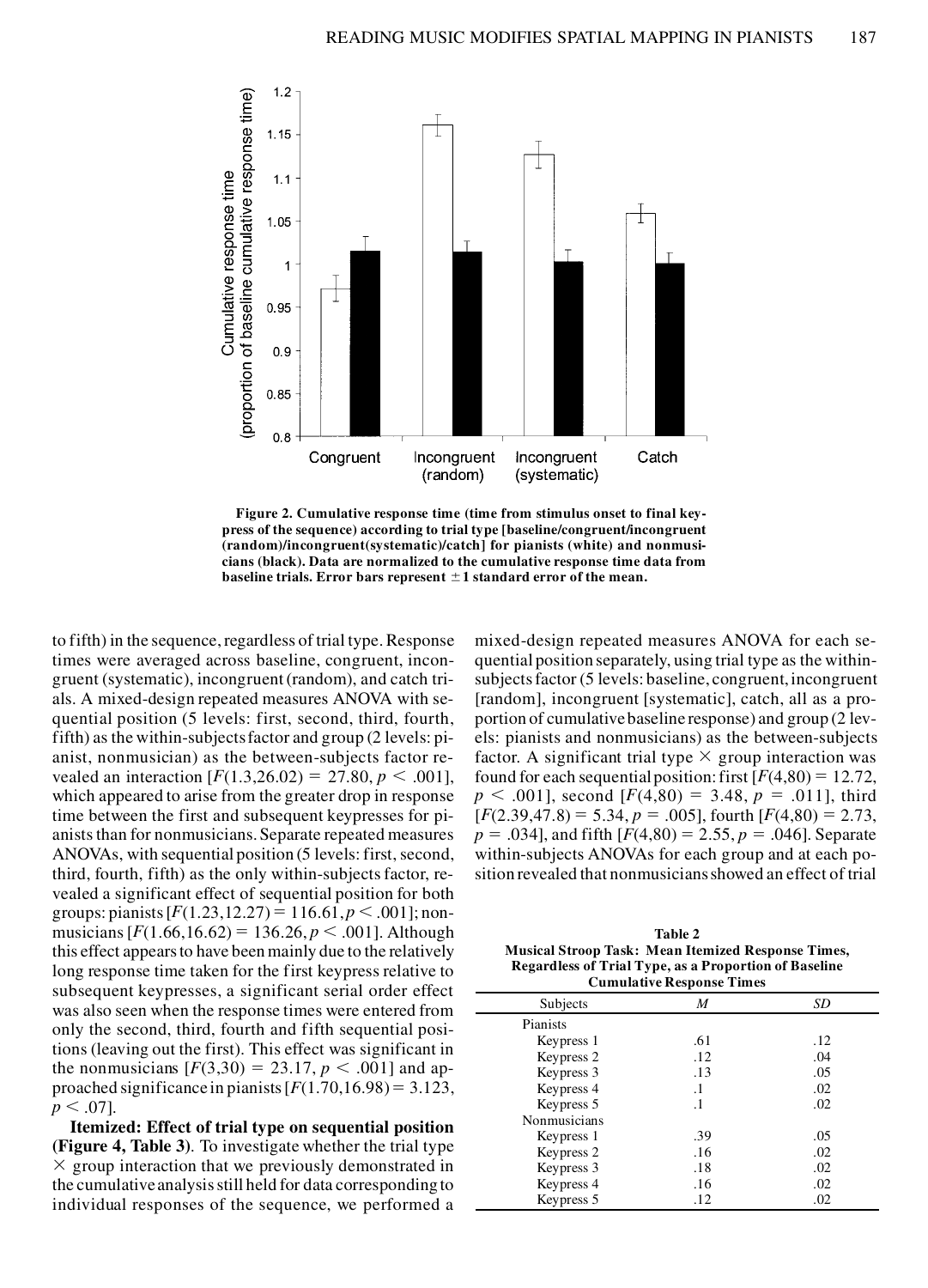

**Figure 2. Cumulative response time (time from stimulus onset to final keypress of the sequence) according to trial type [baseline/congruent/incongruent (random)/incongruent(systematic)/catch] for pianists (white) and nonmusi cians (black). Data are normalized to the cumulative response time data from baseline trials. Error bars represent**  $\pm 1$  standard error of the mean.

to fifth) in the sequence, regardless of trial type. Response times were averaged across baseline, congruent, incongruent (systematic), incongruent (random), and catch trials. A mixed-design repeated measures ANOVA with sequential position (5 levels: first, second, third, fourth, fifth) as the within-subjects factor and group (2 levels: pianist, nonmusician) as the between-subjects factor revealed an interaction  $[F(1.3,26.02) = 27.80, p \le .001]$ , which appeared to arise from the greater drop in response time between the first and subsequent keypresses for pianists than for nonmusicians. Separate repeated measures ANOVAs, with sequential position (5 levels: first, second, third, fourth, fifth) as the only within-subjects factor, revealed a significant effect of sequential position for both groups: pianists  $[F(1.23, 12.27) = 116.61, p < .001]$ ; nonmusicians  $[F(1.66, 16.62) = 136.26, p < .001]$ . Although this effect appears to have been mainly due to the relatively long response time taken for the first keypress relative to subsequent keypresses, a significant serial order effect was also seen when the response times were entered from only the second, third, fourth and fifth sequential positions (leaving out the first). This effect was significant in the nonmusicians  $[F(3,30) = 23.17, p < .001]$  and approached significance in pianists  $[F(1.70,16.98) = 3.123$ ,  $p < .07$ ].

**Itemized: Effect of trial type on sequential position (Figure 4, Table 3)**. To investigate whether the trial type  $\times$  group interaction that we previously demonstrated in the cumulative analysis still held for data corresponding to individual responses of the sequence, we performed a

mixed-design repeated measures ANOVA for each sequential position separately, using trial type as the withinsubjects factor (5 levels: baseline, congruent, incongruent [random], incongruent [systematic], catch, all as a proportion of cumulative baseline response) and group (2 levels: pianists and nonmusicians) as the between-subjects factor. A significant trial type  $\times$  group interaction was found for each sequential position: first  $[F(4,80) = 12.72]$ ,  $p \leq .001$ ], second [*F*(4,80) = 3.48,  $p = .011$ ], third  $[F(2.39, 47.8) = 5.34, p = .005]$ , fourth  $[F(4, 80) = 2.73$ ,  $p = .034$ ], and fifth  $[F(4,80) = 2.55, p = .046]$ . Separate within-subjects ANOVAs for each group and at each position revealed that nonmusicians showed an effect of trial

**Table 2 Musical Stroop Task: Mean Itemized Response Times, Regardless of Trial Type, as a Proportion of Baseline Cumulative Response Times**

|              | Cumulative Response Thiles |     |
|--------------|----------------------------|-----|
| Subjects     | M                          | SD  |
| Pianists     |                            |     |
| Keypress 1   | .61                        | .12 |
| Keypress 2   | .12                        | .04 |
| Keypress 3   | .13                        | .05 |
| Keypress 4   | $\cdot$ 1                  | .02 |
| Keypress 5   | .1                         | .02 |
| Nonmusicians |                            |     |
| Keypress 1   | .39                        | .05 |
| Keypress 2   | .16                        | .02 |
| Keypress 3   | .18                        | .02 |
| Keypress 4   | .16                        | .02 |
| Keypress 5   | .12                        | .02 |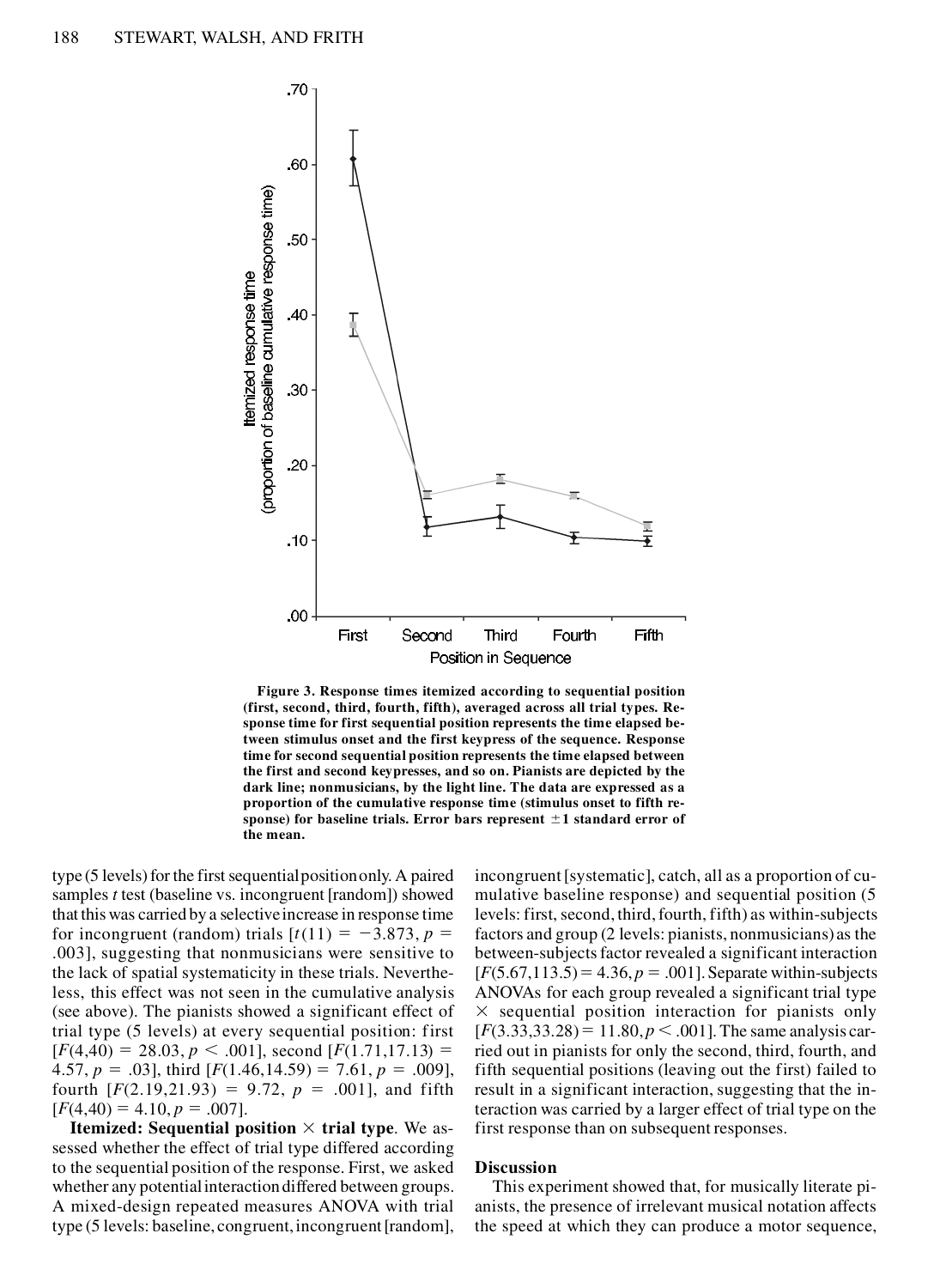

**Figure 3. Response times itemized according to sequential position (first, second, third, fourth, fifth), averaged across all trial types. Response time for first sequential position represents the time elapsed between stimulus onset and the first keypress of the sequence. Response time for second sequential position represents the time elapsed between the first and second keypresses, and so on. Pianists are depicted by the dark line; nonmusicians, by the light line. The data are expressed as a proportion of the cumulative response time (stimulus onset to fifth re** sponse) for baseline trials. Error bars represent  $\pm 1$  standard error of **the mean.**

type (5 levels) for the first sequential position only. A paired samples *t* test (baseline vs. incongruent [random]) showed that this was carried by a selective increase in response time for incongruent (random) trials  $[t(11) = -3.873, p =$ .003], suggesting that nonmusicians were sensitive to the lack of spatial systematicity in these trials. Nevertheless, this effect was not seen in the cumulative analysis (see above). The pianists showed a significant effect of trial type (5 levels) at every sequential position: first  $[F(4,40) = 28.03, p \le .001]$ , second  $[F(1.71,17.13) =$ 4.57,  $p = .03$ ], third  $[F(1.46, 14.59) = 7.61, p = .009]$ , fourth  $[F(2.19,21.93) = 9.72, p = .001]$ , and fifth  $[F(4,40) = 4.10, p = .007]$ .

**Itemized: Sequential position**  $\times$  **trial type. We as**sessed whether the effect of trial type differed according to the sequential position of the response. First, we asked whether any potential interaction differed between groups. A mixed-design repeated measures ANOVA with trial type (5 levels: baseline, congruent, incongruent [random], incongruent [systematic], catch, all as a proportion of cumulative baseline response) and sequential position (5 levels: first, second, third, fourth, fifth) as within-subjects factors and group (2 levels: pianists, nonmusicians) as the between-subjects factor revealed a significant interaction  $[F(5.67, 113.5) = 4.36, p = .001]$ . Separate within-subjects ANOVAs for each group revealed a significant trial type  $\times$  sequential position interaction for pianists only  $[F(3.33, 33.28) = 11.80, p \le .001]$ . The same analysis carried out in pianists for only the second, third, fourth, and fifth sequential positions (leaving out the first) failed to result in a significant interaction, suggesting that the interaction was carried by a larger effect of trial type on the first response than on subsequent responses.

#### **Discussion**

This experiment showed that, for musically literate pianists, the presence of irrelevant musical notation affects the speed at which they can produce a motor sequence,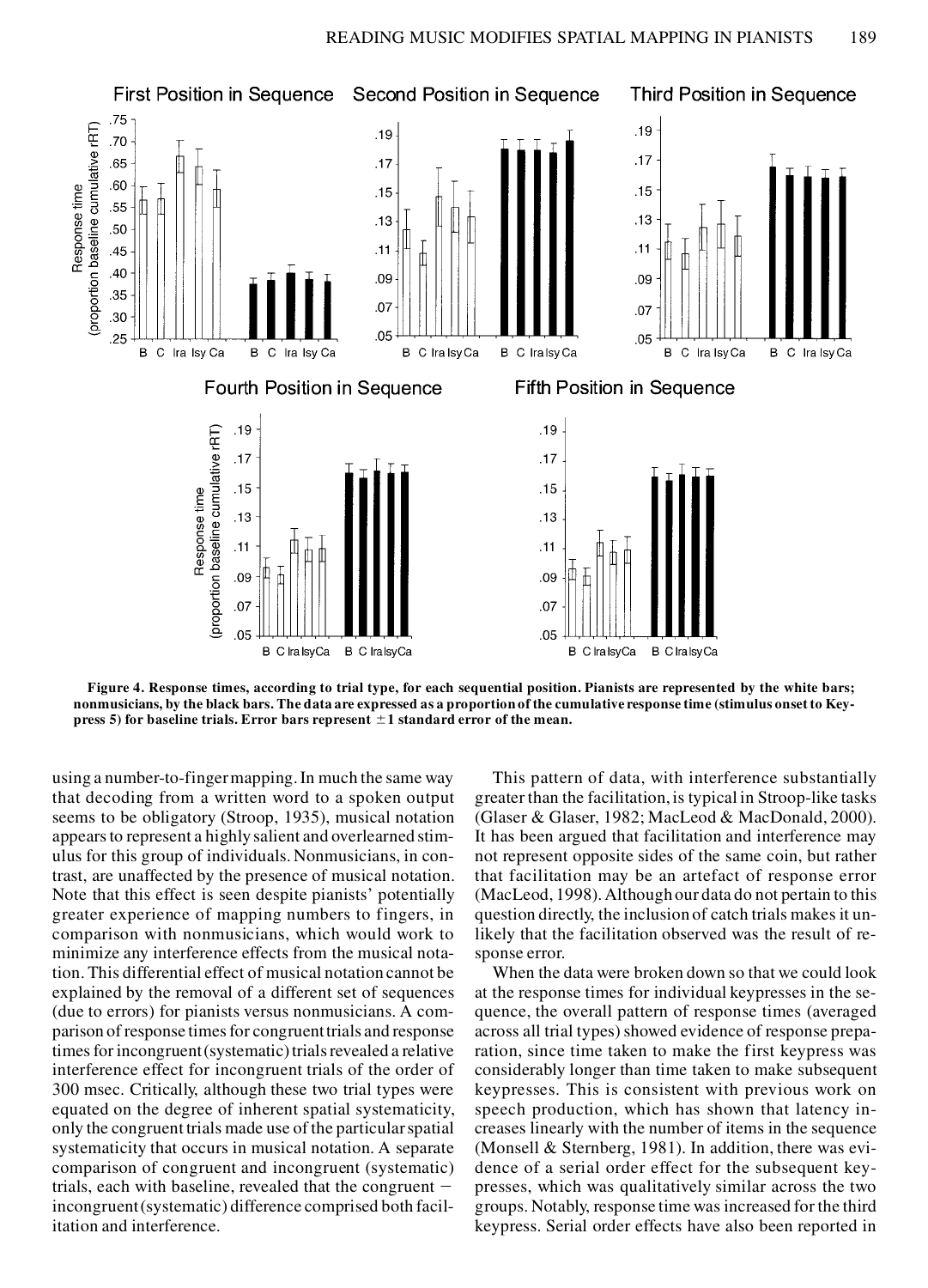

**Figure 4. Response times, according to trial type, for each sequential position. Pianists are represented by the white bars; nonmusicians, by the black bars. The data are expressed as a proportion of the cumulative response time (stimulus onset to Keypress 5) for baseline trials. Error bars represent**  $\pm 1$  standard error of the mean.

using a number-to-finger mapping. In much the same way that decoding from a written word to a spoken output seems to be obligatory (Stroop, 1935), musical notation appears to represent a highly salient and overlearned stimulus for this group of individuals. Nonmusicians, in contrast, are unaffected by the presence of musical notation. Note that this effect is seen despite pianists' potentially greater experience of mapping numbers to fingers, in comparison with nonmusicians, which would work to minimize any interference effects from the musical notation. This differential effect of musical notation cannot be explained by the removal of a different set of sequences (due to errors) for pianists versus nonmusicians. A comparison of response times for congruent trials and response times for incongruent (systematic) trials revealed a relative interference effect for incongruent trials of the order of 300 msec. Critically, although these two trial types were equated on the degree of inherent spatial systematicity, only the congruent trials made use of the particular spatial systematicity that occurs in musical notation. A separate comparison of congruent and incongruent (systematic) trials, each with baseline, revealed that the congruent  $$ incongruent (systematic) difference comprised both facilitation and interference.

This pattern of data, with interference substantially greater than the facilitation, is typical in Stroop-like tasks (Glaser & Glaser, 1982; MacLeod & MacDonald, 2000). It has been argued that facilitation and interference may not represent opposite sides of the same coin, but rather that facilitation may be an artefact of response error (MacLeod, 1998). Although our data do not pertain to this question directly, the inclusion of catch trials makes it unlikely that the facilitation observed was the result of response error.

When the data were broken down so that we could look at the response times for individual keypresses in the sequence, the overall pattern of response times (averaged across all trial types) showed evidence of response preparation, since time taken to make the first keypress was considerably longer than time taken to make subsequent keypresses. This is consistent with previous work on speech production, which has shown that latency increases linearly with the number of items in the sequence (Monsell & Sternberg, 1981). In addition, there was evidence of a serial order effect for the subsequent keypresses, which was qualitatively similar across the two groups. Notably, response time was increased for the third keypress. Serial order effects have also been reported in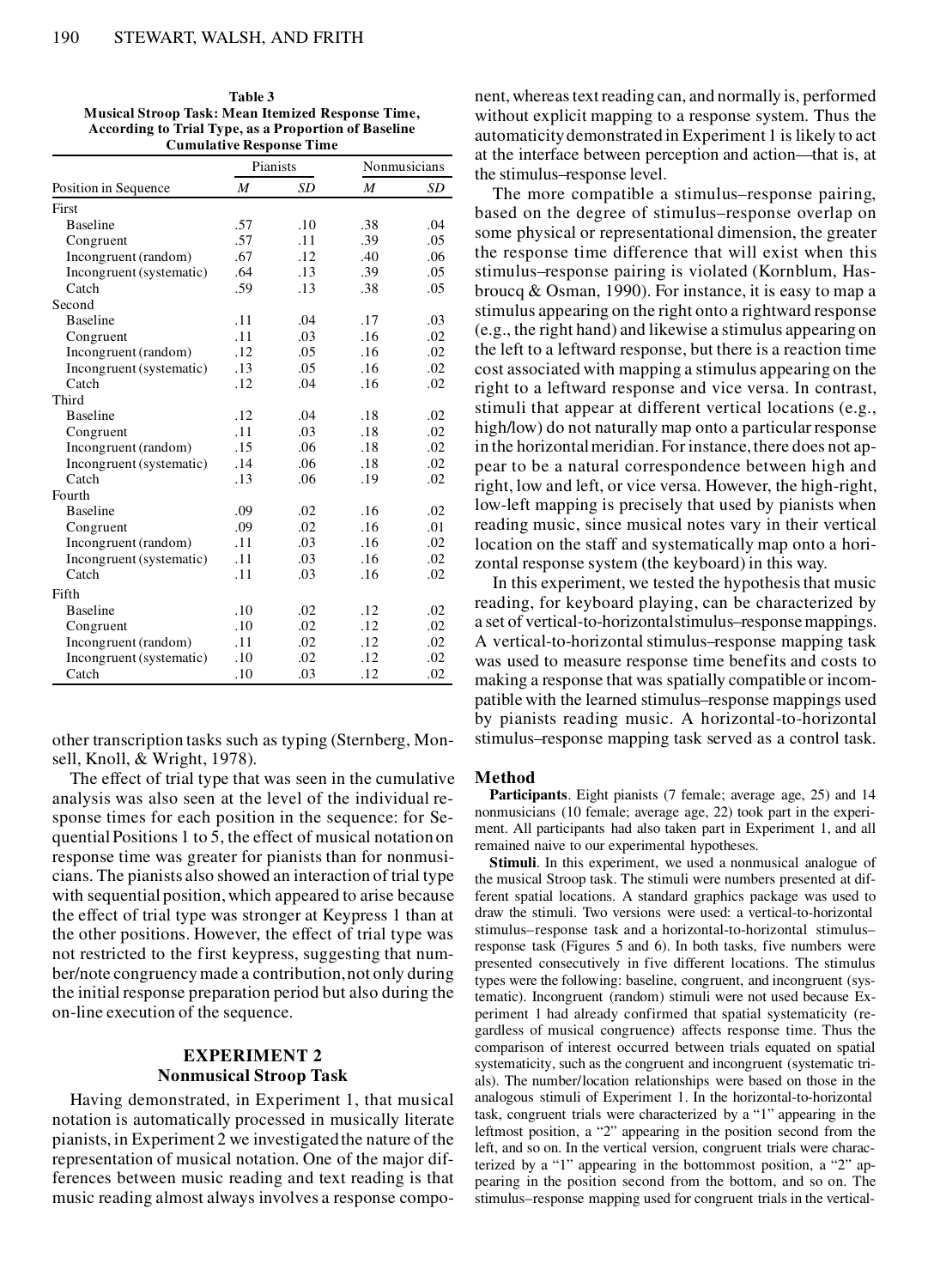| Table 3                                              |
|------------------------------------------------------|
| Musical Stroop Task: Mean Itemized Response Time,    |
| According to Trial Type, as a Proportion of Baseline |
| <b>Cumulative Response Time</b>                      |

|                          | Pianists |           | Nonmusicians |           |
|--------------------------|----------|-----------|--------------|-----------|
| Position in Sequence     | M        | <b>SD</b> | M            | <b>SD</b> |
| First                    |          |           |              |           |
| <b>Baseline</b>          | .57      | .10       | .38          | .04       |
| Congruent                | .57      | .11       | .39          | .05       |
| Incongruent (random)     | .67      | .12       | .40          | .06       |
| Incongruent (systematic) | .64      | .13       | .39          | .05       |
| Catch                    | .59      | .13       | .38          | .05       |
| Second                   |          |           |              |           |
| <b>Baseline</b>          | .11      | .04       | .17          | .03       |
| Congruent                | .11      | .03       | .16          | .02       |
| Incongruent (random)     | .12      | .05       | .16          | .02       |
| Incongruent (systematic) | .13      | .05       | .16          | .02       |
| Catch                    | .12      | .04       | .16          | .02       |
| Third                    |          |           |              |           |
| <b>Baseline</b>          | .12      | .04       | .18          | .02       |
| Congruent                | .11      | .03       | .18          | .02       |
| Incongruent (random)     | .15      | .06       | .18          | .02       |
| Incongruent (systematic) | .14      | .06       | .18          | .02       |
| Catch                    | .13      | .06       | .19          | .02       |
| Fourth                   |          |           |              |           |
| <b>Baseline</b>          | .09      | .02       | .16          | .02       |
| Congruent                | .09      | .02       | .16          | .01       |
| Incongruent (random)     | .11      | .03       | .16          | .02       |
| Incongruent (systematic) | .11      | .03       | .16          | .02       |
| Catch                    | .11      | .03       | .16          | .02       |
| Fifth                    |          |           |              |           |
| <b>Baseline</b>          | .10      | .02       | .12          | .02       |
| Congruent                | .10      | .02       | .12          | .02       |
| Incongruent (random)     | .11      | .02       | .12          | .02       |
| Incongruent (systematic) | .10      | .02       | .12          | .02       |
| Catch                    | .10      | .03       | .12          | .02       |

other transcription tasks such as typing (Sternberg, Monsell, Knoll, & Wright, 1978).

The effect of trial type that was seen in the cumulative analysis was also seen at the level of the individual response times for each position in the sequence: for Sequential Positions 1 to 5, the effect of musical notation on response time was greater for pianists than for nonmusicians. The pianists also showed an interaction of trial type with sequential position, which appeared to arise because the effect of trial type was stronger at Keypress 1 than at the other positions. However, the effect of trial type was not restricted to the first keypress, suggesting that number/note congruency made a contribution, not only during the initial response preparation period but also during the on-line execution of the sequence.

# **EXPERIMENT 2 Nonmusical Stroop Task**

Having demonstrated, in Experiment 1, that musical notation is automatically processed in musically literate pianists, in Experiment 2 we investigated the nature of the representation of musical notation. One of the major differences between music reading and text reading is that music reading almost always involves a response component, whereas text reading can, and normally is, performed without explicit mapping to a response system. Thus the automaticity demonstrated in Experiment 1 is likely to act at the interface between perception and action—that is, at the stimulus–response level.

The more compatible a stimulus–response pairing, based on the degree of stimulus–response overlap on some physical or representational dimension, the greater the response time difference that will exist when this stimulus–response pairing is violated (Kornblum, Hasbroucq & Osman, 1990). For instance, it is easy to map a stimulus appearing on the right onto a rightward response (e.g., the right hand) and likewise a stimulus appearing on the left to a leftward response, but there is a reaction time cost associated with mapping a stimulus appearing on the right to a leftward response and vice versa. In contrast, stimuli that appear at different vertical locations (e.g., high/low) do not naturally map onto a particular response in the horizontal meridian. For instance, there does not appear to be a natural correspondence between high and right, low and left, or vice versa. However, the high-right, low-left mapping is precisely that used by pianists when reading music, since musical notes vary in their vertical location on the staff and systematically map onto a horizontal response system (the keyboard) in this way.

In this experiment, we tested the hypothesis that music reading, for keyboard playing, can be characterized by a set of vertical-to-horizontal stimulus–response mappings. A vertical-to-horizontal stimulus–response mapping task was used to measure response time benefits and costs to making a response that was spatially compatible or incompatible with the learned stimulus–response mappings used by pianists reading music. A horizontal-to-horizontal stimulus–response mapping task served as a control task.

## **Method**

**Participants**. Eight pianists (7 female; average age, 25) and 14 nonmusicians (10 female; average age, 22) took part in the experiment. All participants had also taken part in Experiment 1, and all remained naive to our experimental hypotheses.

**Stimuli**. In this experiment, we used a nonmusical analogue of the musical Stroop task. The stimuli were numbers presented at different spatial locations. A standard graphics package was used to draw the stimuli. Two versions were used: a vertical-to-horizontal stimulus–response task and a horizontal-to-horizontal stimulus– response task (Figures 5 and 6). In both tasks, five numbers were presented consecutively in five different locations. The stimulus types were the following: baseline, congruent, and incongruent (systematic). Incongruent (random) stimuli were not used because Experiment 1 had already confirmed that spatial systematicity (regardless of musical congruence) affects response time. Thus the comparison of interest occurred between trials equated on spatial systematicity, such as the congruent and incongruent (systematic trials). The number/location relationships were based on those in the analogous stimuli of Experiment 1. In the horizontal-to-horizontal task, congruent trials were characterized by a "1" appearing in the leftmost position, a "2" appearing in the position second from the left, and so on. In the vertical version, congruent trials were characterized by a "1" appearing in the bottommost position, a "2" appearing in the position second from the bottom, and so on. The stimulus–response mapping used for congruent trials in the vertical-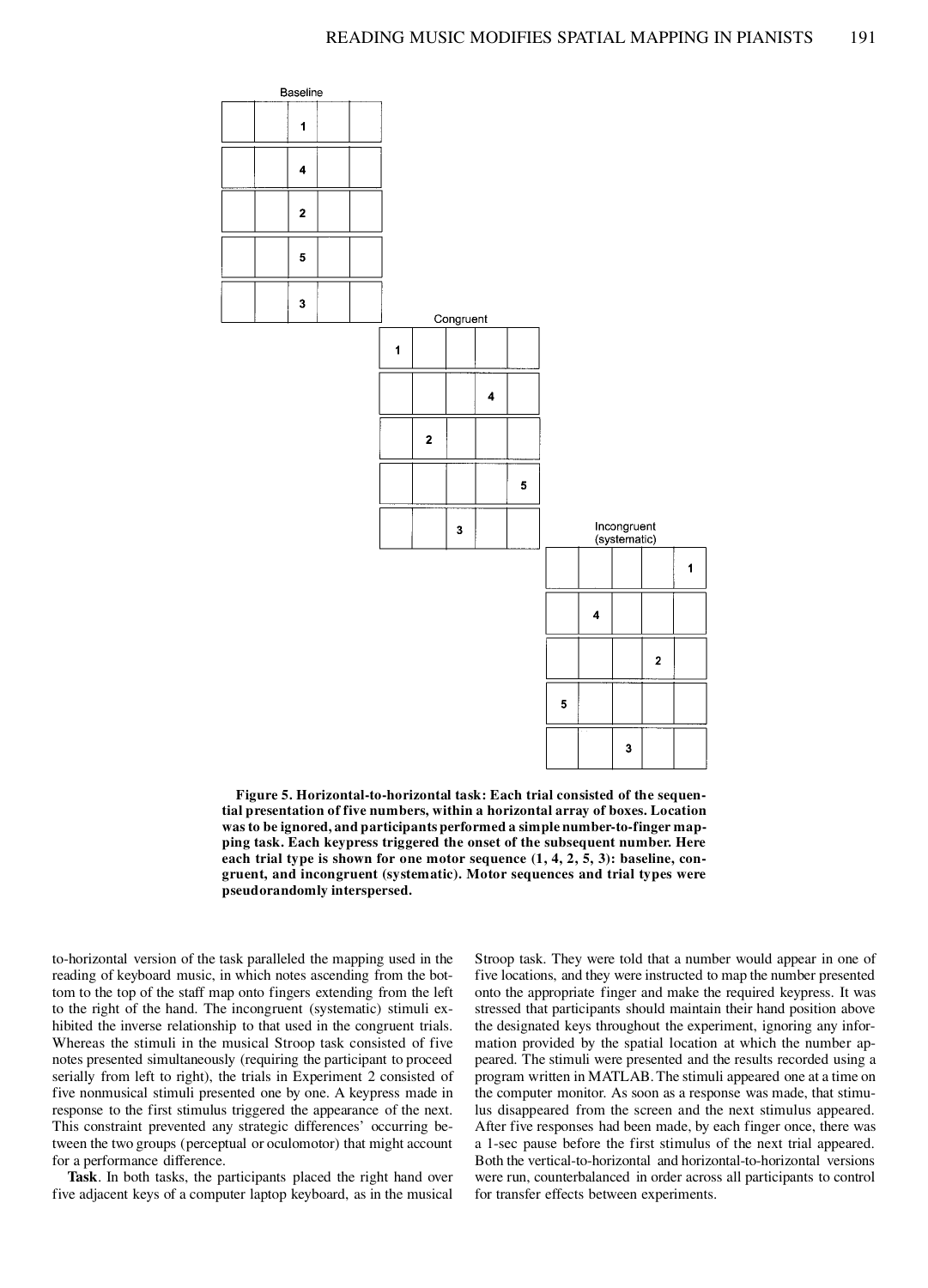

**Figure 5. Horizontal-to-horizontal task: Each trial consisted of the sequential presentation of five numbers, within a horizontal array of boxes. Location was to be ignored, and participants performed a simple number-to-finger mapping task. Each keypress triggered the onset of the subsequent number. Here each trial type is shown for one motor sequence (1, 4, 2, 5, 3): baseline, con gruent, and incongruent (systematic). Motor sequences and trial types were pseudorandomly interspersed.**

to-horizontal version of the task paralleled the mapping used in the reading of keyboard music, in which notes ascending from the bottom to the top of the staff map onto fingers extending from the left to the right of the hand. The incongruent (systematic) stimuli ex hibited the inverse relationship to that used in the congruent trials. Whereas the stimuli in the musical Stroop task consisted of five notes presented simultaneously (requiring the participant to proceed serially from left to right), the trials in Experiment 2 consisted of five nonmusical stimuli presented one by one. A keypress made in response to the first stimulus triggered the appearance of the next. This constraint prevented any strategic differences' occurring between the two groups (perceptual or oculomotor) that might account for a performance difference.

**Task**. In both tasks, the participants placed the right hand over five adjacent keys of a computer laptop keyboard, as in the musical

Stroop task. They were told that a number would appear in one of five locations, and they were instructed to map the number presented onto the appropriate finger and make the required keypress. It was stressed that participants should maintain their hand position above the designated keys throughout the experiment, ignoring any information provided by the spatial location at which the number appeared. The stimuli were presented and the results recorded using a program written in MATLAB. The stimuli appeared one at a time on the computer monitor. As soon as a response was made, that stimulus disappeared from the screen and the next stimulus appeared. After five responses had been made, by each finger once, there was a 1-sec pause before the first stimulus of the next trial appeared. Both the vertical-to-horizontal and horizontal-to-horizontal versions were run, counterbalanced in order across all participants to control for transfer effects between experiments.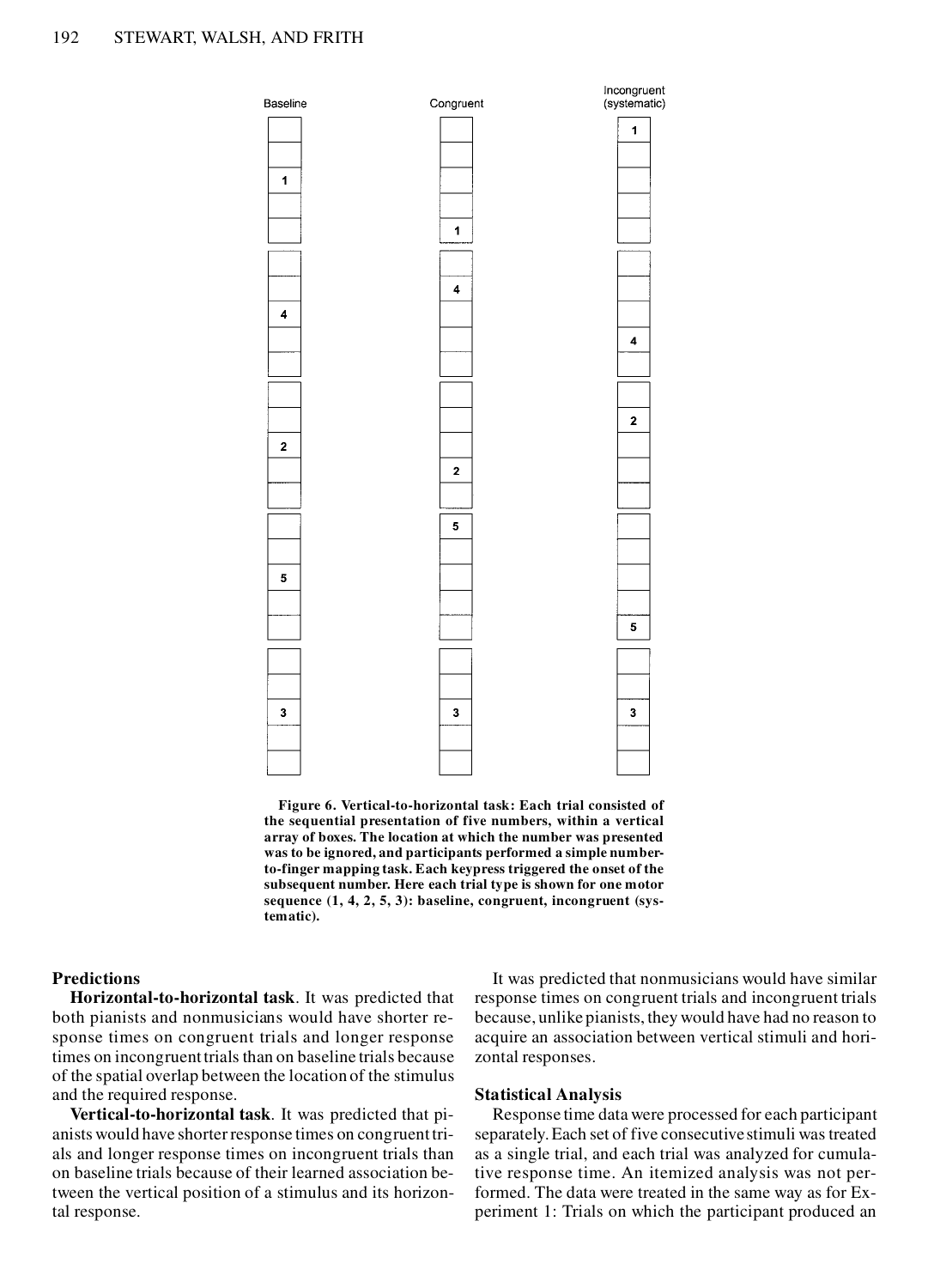

**Figure 6. Vertical-to-horizontal task: Each trial consisted of the sequential presentation of five numbers, within a vertical array of boxes. The location at which the number was presented was to be ignored, and participants performed a simple numberto-finger mapping task. Each keypress triggered the onset of the subsequent number. Here each trial type is shown for one motor sequence (1, 4, 2, 5, 3): baseline, congruent, incongruent (systematic).**

# **Predictions**

**Horizontal-to-horizontal task**. It was predicted that both pianists and nonmusicians would have shorter response times on congruent trials and longer response times on incongruent trials than on baseline trials because of the spatial overlap between the location of the stimulus and the required response.

**Vertical-to-horizontal task**. It was predicted that pianists would have shorter response times on congruent trials and longer response times on incongruent trials than on baseline trials because of their learned association between the vertical position of a stimulus and its horizontal response.

It was predicted that nonmusicians would have similar response times on congruent trials and incongruent trials because, unlike pianists, they would have had no reason to acquire an association between vertical stimuli and horizontal responses.

#### **Statistical Analysis**

Response time data were processed for each participant separately. Each set of five consecutive stimuli was treated as a single trial, and each trial was analyzed for cumulative response time. An itemized analysis was not performed. The data were treated in the same way as for Experiment 1: Trials on which the participant produced an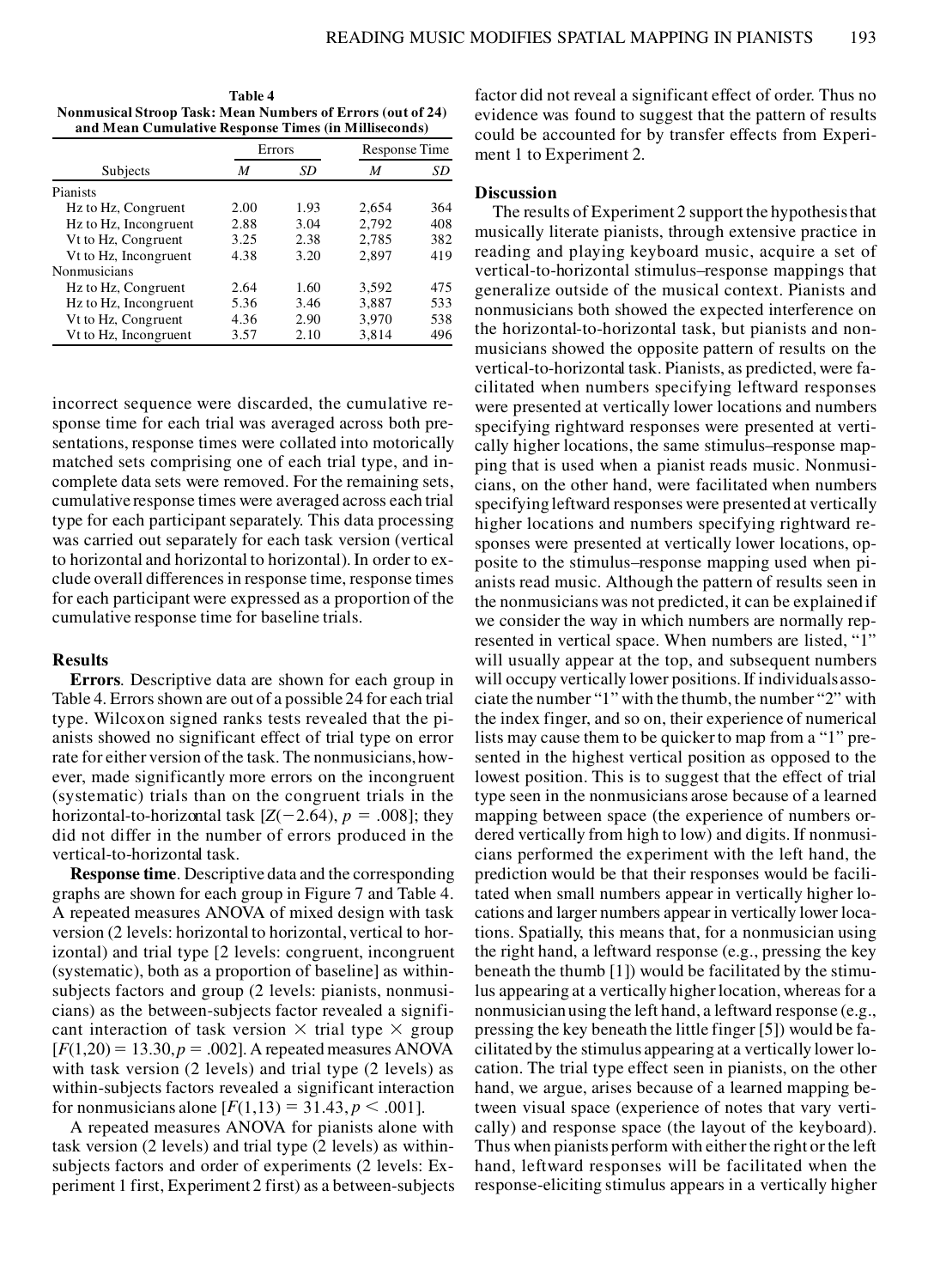| Table 4                                                           |
|-------------------------------------------------------------------|
| <b>Nonmusical Stroop Task: Mean Numbers of Errors (out of 24)</b> |
| and Mean Cumulative Response Times (in Milliseconds)              |

|                       |      | Errors |       | Response Time |  |
|-----------------------|------|--------|-------|---------------|--|
| Subjects              | M    | SD     | M     | SD            |  |
| Pianists              |      |        |       |               |  |
| Hz to Hz, Congruent   | 2.00 | 1.93   | 2,654 | 364           |  |
| Hz to Hz, Incongruent | 2.88 | 3.04   | 2.792 | 408           |  |
| Vt to Hz, Congruent   | 3.25 | 2.38   | 2,785 | 382           |  |
| Vt to Hz, Incongruent | 4.38 | 3.20   | 2,897 | 419           |  |
| <b>Nonmusicians</b>   |      |        |       |               |  |
| Hz to Hz, Congruent   | 2.64 | 1.60   | 3,592 | 475           |  |
| Hz to Hz, Incongruent | 5.36 | 3.46   | 3,887 | 533           |  |
| Vt to Hz, Congruent   | 4.36 | 2.90   | 3.970 | 538           |  |
| Vt to Hz, Incongruent | 3.57 | 2.10   | 3,814 | 496           |  |

incorrect sequence were discarded, the cumulative response time for each trial was averaged across both presentations, response times were collated into motorically matched sets comprising one of each trial type, and incomplete data sets were removed. For the remaining sets, cumulative response times were averaged across each trial type for each participant separately. This data processing was carried out separately for each task version (vertical to horizontal and horizontal to horizontal). In order to exclude overall differences in response time, response times for each participant were expressed as a proportion of the cumulative response time for baseline trials.

## **Results**

**Errors**. Descriptive data are shown for each group in Table 4. Errors shown are out of a possible 24 for each trial type. Wilcoxon signed ranks tests revealed that the pianists showed no significant effect of trial type on error rate for either version of the task. The nonmusicians, however, made significantly more errors on the incongruent (systematic) trials than on the congruent trials in the horizontal-to-horizontal task  $[Z(-2.64), p = .008]$ ; they did not differ in the number of errors produced in the vertical-to-horizontal task.

**Response time**. Descriptive data and the corresponding graphs are shown for each group in Figure 7 and Table 4. A repeated measures ANOVA of mixed design with task version (2 levels: horizontal to horizontal, vertical to horizontal) and trial type [2 levels: congruent, incongruent (systematic), both as a proportion of baseline] as withinsubjects factors and group (2 levels: pianists, nonmusicians) as the between-subjects factor revealed a significant interaction of task version  $\times$  trial type  $\times$  group  $[F(1,20) = 13.30, p = .002]$ . A repeated measures ANOVA with task version (2 levels) and trial type (2 levels) as within-subjects factors revealed a significant interaction for nonmusicians alone  $[F(1,13) = 31.43, p < .001]$ .

A repeated measures ANOVA for pianists alone with task version (2 levels) and trial type (2 levels) as withinsubjects factors and order of experiments (2 levels: Experiment 1 first, Experiment 2 first) as a between-subjects factor did not reveal a significant effect of order. Thus no evidence was found to suggest that the pattern of results could be accounted for by transfer effects from Experiment 1 to Experiment 2.

## **Discussion**

The results of Experiment 2 support the hypothesis that musically literate pianists, through extensive practice in reading and playing keyboard music, acquire a set of vertical-to-horizontal stimulus–response mappings that generalize outside of the musical context. Pianists and nonmusicians both showed the expected interference on the horizontal-to-horizontal task, but pianists and nonmusicians showed the opposite pattern of results on the vertical-to-horizontal task. Pianists, as predicted, were facilitated when numbers specifying leftward responses were presented at vertically lower locations and numbers specifying rightward responses were presented at vertically higher locations, the same stimulus–response mapping that is used when a pianist reads music. Nonmusicians, on the other hand, were facilitated when numbers specifying leftward responses were presented at vertically higher locations and numbers specifying rightward responses were presented at vertically lower locations, opposite to the stimulus–response mapping used when pianists read music. Although the pattern of results seen in the nonmusicians was not predicted, it can be explained if we consider the way in which numbers are normally represented in vertical space. When numbers are listed, "1" will usually appear at the top, and subsequent numbers will occupy vertically lower positions. If individuals associate the number "1" with the thumb, the number "2" with the index finger, and so on, their experience of numerical lists may cause them to be quicker to map from a "1" presented in the highest vertical position as opposed to the lowest position. This is to suggest that the effect of trial type seen in the nonmusicians arose because of a learned mapping between space (the experience of numbers ordered vertically from high to low) and digits. If nonmusicians performed the experiment with the left hand, the prediction would be that their responses would be facilitated when small numbers appear in vertically higher locations and larger numbers appear in vertically lower locations. Spatially, this means that, for a nonmusician using the right hand, a leftward response (e.g., pressing the key beneath the thumb [1]) would be facilitated by the stimulus appearing at a vertically higher location, whereas for a nonmusician using the left hand, a leftward response (e.g., pressing the key beneath the little finger [5]) would be facilitated by the stimulus appearing at a vertically lower location. The trial type effect seen in pianists, on the other hand, we argue, arises because of a learned mapping between visual space (experience of notes that vary vertically) and response space (the layout of the keyboard). Thus when pianists perform with either the right or the left hand, leftward responses will be facilitated when the response-eliciting stimulus appears in a vertically higher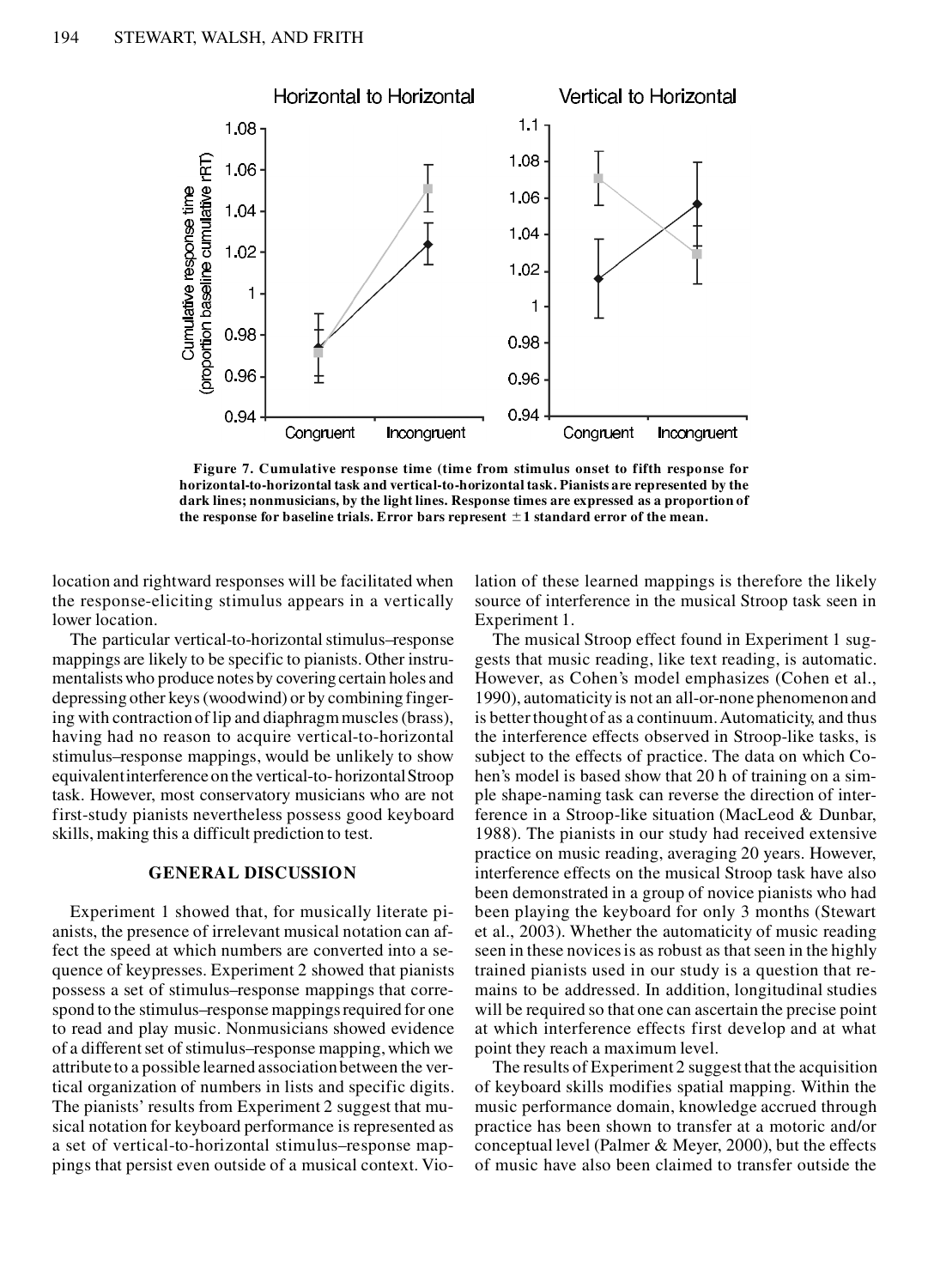

**Figure 7. Cumulative response time (time from stimulus onset to fifth response for horizontal-to-horizontal task and vertical-to-horizontal task. Pianists are represented by the dark lines; nonmusicians, by the light lines. Response times are expressed as a proportion of** the response for baseline trials. Error bars represent  $\pm 1$  standard error of the mean.

location and rightward responses will be facilitated when the response-eliciting stimulus appears in a vertically lower location.

The particular vertical-to-horizontal stimulus–response mappings are likely to be specific to pianists. Other instrumentalists who produce notes by covering certain holes and depressing other keys (woodwind) or by combining fingering with contraction of lip and diaphragm muscles (brass), having had no reason to acquire vertical-to-horizontal stimulus–response mappings, would be unlikely to show equivalent interference on the vertical-to- horizontal Stroop task. However, most conservatory musicians who are not first-study pianists nevertheless possess good keyboard skills, making this a difficult prediction to test.

## **GENERAL DISCUSSION**

Experiment 1 showed that, for musically literate pianists, the presence of irrelevant musical notation can affect the speed at which numbers are converted into a sequence of keypresses. Experiment 2 showed that pianists possess a set of stimulus–response mappings that correspond to the stimulus–response mappings required for one to read and play music. Nonmusicians showed evidence of a different set of stimulus–response mapping, which we attribute to a possible learned association between the vertical organization of numbers in lists and specific digits. The pianists' results from Experiment 2 suggest that musical notation for keyboard performance is represented as a set of vertical-to-horizontal stimulus–response mappings that persist even outside of a musical context. Violation of these learned mappings is therefore the likely source of interference in the musical Stroop task seen in Experiment 1.

The musical Stroop effect found in Experiment 1 suggests that music reading, like text reading, is automatic. However, as Cohen's model emphasizes (Cohen et al., 1990), automaticity is not an all-or-none phenomenon and is better thought of as a continuum. Automaticity, and thus the interference effects observed in Stroop-like tasks, is subject to the effects of practice. The data on which Cohen's model is based show that 20 h of training on a simple shape-naming task can reverse the direction of interference in a Stroop-like situation (MacLeod & Dunbar, 1988). The pianists in our study had received extensive practice on music reading, averaging 20 years. However, interference effects on the musical Stroop task have also been demonstrated in a group of novice pianists who had been playing the keyboard for only 3 months (Stewart et al., 2003). Whether the automaticity of music reading seen in these novices is as robust as that seen in the highly trained pianists used in our study is a question that remains to be addressed. In addition, longitudinal studies will be required so that one can ascertain the precise point at which interference effects first develop and at what point they reach a maximum level.

The results of Experiment 2 suggest that the acquisition of keyboard skills modifies spatial mapping. Within the music performance domain, knowledge accrued through practice has been shown to transfer at a motoric and/or conceptual level (Palmer & Meyer, 2000), but the effects of music have also been claimed to transfer outside the